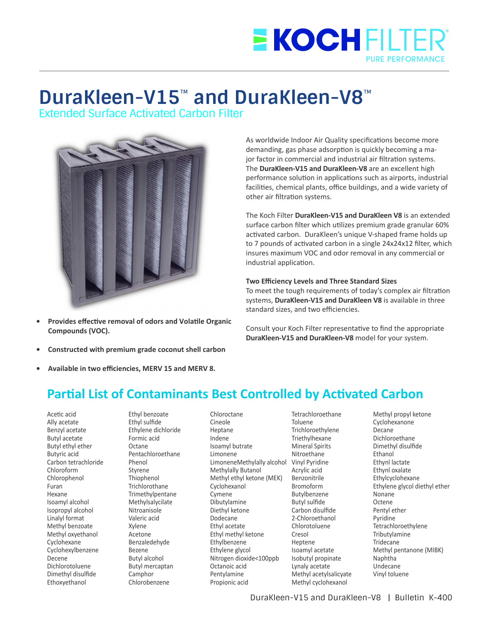## **EKOCHFILTE PURE PERFORMA**

# **DuraKleen-V15**™  **and DuraKleen-V8**™

Extended Surface Activated Carbon Filter



- **Provides effective removal of odors and Volatile Organic Compounds (VOC).**
- **Constructed with premium grade coconut shell carbon**
- Available in two efficiencies, MERV 15 and MERV 8.

As worldwide Indoor Air Quality specifications become more demanding, gas phase adsorption is quickly becoming a major factor in commercial and industrial air filtration systems. The **DuraKleen-V15 and DuraKleen-V8** are an excellent high performance solution in applications such as airports, industrial facilities, chemical plants, office buildings, and a wide variety of other air filtration systems.

The Koch Filter **DuraKleen-V15 and DuraKleen V8** is an extended surface carbon filter which utilizes premium grade granular 60% activated carbon. DuraKleen's unique V-shaped frame holds up to 7 pounds of activated carbon in a single 24x24x12 filter, which insures maximum VOC and odor removal in any commercial or industrial application.

#### **Two Efficiency Levels and Three Standard Sizes**

To meet the tough requirements of today's complex air filtration systems, **DuraKleen-V15 and DuraKleen V8** is available in three standard sizes, and two efficiencies.

Consult your Koch Filter representative to find the appropriate **DuraKleen-V15 and DuraKleen-V8** model for your system.

### **Partial List of Contaminants Best Controlled by Activated Carbon**

Acetic acid Ally acetate Benzyl acetate Butyl acetate Butyl ethyl ether Butyric acid Carbon tetrachloride Chloroform Chlorophenol Furan Hexane Isoamyl alcohol Isopropyl alcohol Linalyl format Methyl benzoate Methyl oxyethanol Cyclohexane Cyclohexylbenzene Decene Dichlorotoluene Dimethyl disulfide Ethoxyethanol

Ethyl benzoate Ethyl sulfide Ethylene dichloride Formic acid Octane Pentachloroethane Phenol Styrene Thiophenol Trichlorothane Trimethylpentane Methylsalycilate Nitroanisole Valeric acid Xylene Acetone Benzaledehyde Bezene Butyl alcohol Butyl mercaptan Camphor Chlorobenzene

Chloroctane Cineole Heptane Indene Isoamyl butrate Limonene LimoneneMethylally alcohol Vinyl Pyridine Methylally Butanol Methyl ethyl ketone (MEK) Cyclohexanol Cymene Dibutylamine Diethyl ketone Dodecane Ethyl acetate Ethyl methyl ketone Ethylbenzene Ethylene glycol Nitrogen dioxide<100ppb Octanoic acid Pentylamine Propionic acid

Tetrachloroethane Toluene Trichloroethylene Triethylhexane Mineral Spirits Nitroethane Acrylic acid Benzonitrile Bromoform Butylbenzene Butyl sulfide Carbon disulfide 2-Chloroethanol Chlorotoluene Cresol Heptene Isoamyl acetate Isobutyl propinate Lynaly acetate Methyl acetylsalicyate Methyl cyclohexanol

Methyl propyl ketone Cyclohexanone Decane Dichloroethane Dimethyl disulfide Ethanol Ethynl lactate Ethynl oxalate Ethylcyclohexane Ethylene glycol diethyl ether Nonane **Octene** Pentyl ether Pyridine **Tetrachloroethylene** Tributylamine Tridecane Methyl pentanone (MIBK) Naphtha Undecane Vinyl toluene